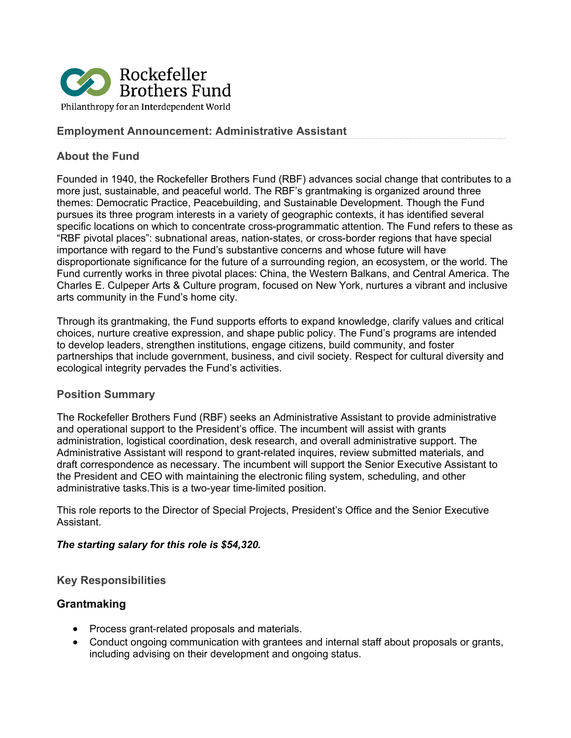

### **Employment Announcement: Administrative Assistant**

### **About the Fund**

Founded in 1940, the Rockefeller Brothers Fund (RBF) advances social change that contributes to a more just, sustainable, and peaceful world. The RBF's grantmaking is organized around three themes: Democratic Practice, Peacebuilding, and Sustainable Development. Though the Fund pursues its three program interests in a variety of geographic contexts, it has identified several specific locations on which to concentrate cross-programmatic attention. The Fund refers to these as "RBF pivotal places": subnational areas, nation-states, or cross-border regions that have special importance with regard to the Fund's substantive concerns and whose future will have disproportionate significance for the future of a surrounding region, an ecosystem, or the world. The Fund currently works in three pivotal places: China, the Western Balkans, and Central America. The Charles E. Culpeper Arts & Culture program, focused on New York, nurtures a vibrant and inclusive arts community in the Fund's home city.

Through its grantmaking, the Fund supports efforts to expand knowledge, clarify values and critical choices, nurture creative expression, and shape public policy. The Fund's programs are intended to develop leaders, strengthen institutions, engage citizens, build community, and foster partnerships that include government, business, and civil society. Respect for cultural diversity and ecological integrity pervades the Fund's activities.

### **Position Summary**

The Rockefeller Brothers Fund (RBF) seeks an Administrative Assistant to provide administrative and operational support to the President's office. The incumbent will assist with grants administration, logistical coordination, desk research, and overall administrative support. The Administrative Assistant will respond to grant-related inquires, review submitted materials, and draft correspondence as necessary. The incumbent will support the Senior Executive Assistant to the President and CEO with maintaining the electronic filing system, scheduling, and other administrative tasks.This is a two-year time-limited position.

This role reports to the Director of Special Projects, President's Office and the Senior Executive Assistant.

#### *The starting salary for this role is \$54,320.*

### **Key Responsibilities**

### **Grantmaking**

- Process grant-related proposals and materials.
- Conduct ongoing communication with grantees and internal staff about proposals or grants, including advising on their development and ongoing status.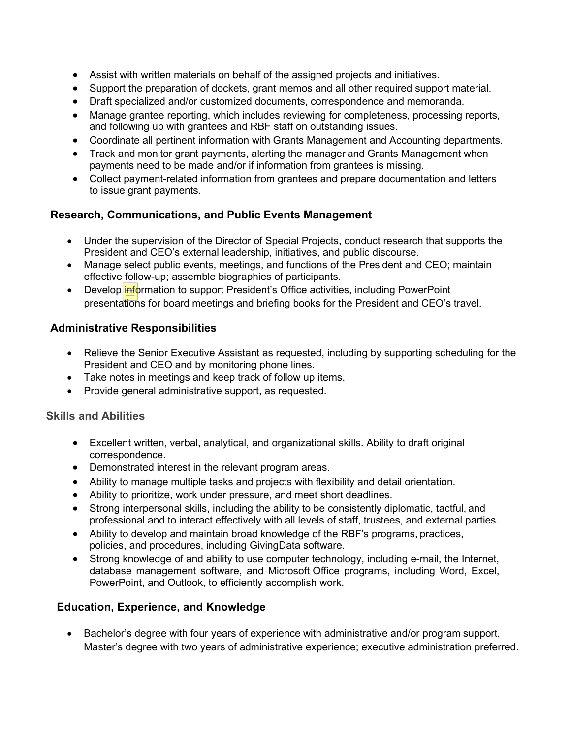- Assist with written materials on behalf of the assigned projects and initiatives.
- Support the preparation of dockets, grant memos and all other required support material.
- Draft specialized and/or customized documents, correspondence and memoranda.
- Manage grantee reporting, which includes reviewing for completeness, processing reports, and following up with grantees and RBF staff on outstanding issues.
- Coordinate all pertinent information with Grants Management and Accounting departments.
- Track and monitor grant payments, alerting the manager and Grants Management when payments need to be made and/or if information from grantees is missing.
- Collect payment-related information from grantees and prepare documentation and letters to issue grant payments.

## **Research, Communications, and Public Events Management**

- Under the supervision of the Director of Special Projects, conduct research that supports the President and CEO's external leadership, initiatives, and public discourse.
- Manage select public events, meetings, and functions of the President and CEO; maintain effective follow-up; assemble biographies of participants.
- Develop *information to support President's Office activities, including PowerPoint* presentations for board meetings and briefing books for the President and CEO's travel.

## **Administrative Responsibilities**

- Relieve the Senior Executive Assistant as requested, including by supporting scheduling for the President and CEO and by monitoring phone lines.
- Take notes in meetings and keep track of follow up items.
- Provide general administrative support, as requested.

### **Skills and Abilities**

- Excellent written, verbal, analytical, and organizational skills. Ability to draft original correspondence.
- Demonstrated interest in the relevant program areas.
- Ability to manage multiple tasks and projects with flexibility and detail orientation.
- Ability to prioritize, work under pressure, and meet short deadlines.
- Strong interpersonal skills, including the ability to be consistently diplomatic, tactful, and professional and to interact effectively with all levels of staff, trustees, and external parties.
- Ability to develop and maintain broad knowledge of the RBF's programs, practices, policies, and procedures, including GivingData software.
- Strong knowledge of and ability to use computer technology, including e-mail, the Internet, database management software, and Microsoft Office programs, including Word, Excel, PowerPoint, and Outlook, to efficiently accomplish work.

## **Education, Experience, and Knowledge**

• Bachelor's degree with four years of experience with administrative and/or program support. Master's degree with two years of administrative experience; executive administration preferred.